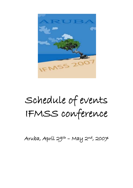

# Schedule of events IFMSS conference

Aruba, Apríl 29th - May 2nd, 2007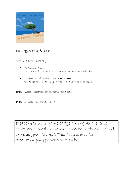

## Sunday, April 29th, 2007

Arrival throughout the day

- **•** Hotel registration Accounts will be opened for extras such as phone and mini bar
- Conference registration from 15.00 20.00 This takes place in the foyer of the Grand Caribbean Ballroom
- 18.30 Welcome reception at pool deck of Radisson
- 19.30 (Buffet) Dinner at pool deck

Please wear your name badge during ALL events: conference, meals as well as evening activities. It will serve as your "ticket". This applies also for accompanying persons and kids!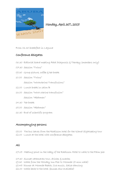

## Monday, April 30th, 2007

From 06.30 breakfast in Laguna

#### Conference delegates

- 06.30 Editorial board meeting Fetal Diagnosis & Therapy (members only)
- 07.30 Session "Twins"
- 09.30 Group pícture, coffee g tea break
- 10.00 Session "Twins"

Session "Intrauterine Transfusions"

- 12.00 Lunch break in salon B
- 13.00 Session "Intra uterine transfusion" Session "Abdomen"
- 14.30 Tea break
- 15.00 Session "Abdomen"
- 16.30 End of scientific program

#### Accompanying persons

09.00 The bus leaves from the Radisson hotel for the Island Sightseeing tour 12.00 Lunch at the hotel with conference delegates

#### All

17.15 Meeting point in the lobby of the Radisson Hotel to walk to the Palm pier

- 17.30 Sunset catamaran tour, drinks & snacks
- 19.30 Walk from the Holiday Inn Pier to Moomba (5 min walk)
- 19.45 Dinner at Moomba Beach, live music, Salsa dancing
- 22.00 Walk back to the hotel (busses also available)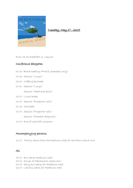

#### <u>Tuesday, May 1st , 2007</u>

From 06.30 breakfast in Laguna

## Conference delegates

- 06.30 Board meeting IFMSS (members only)
- 07.30 Session "Lungs"
- 09.30 Coffee gtea break
- 10.00 Session "Lungs"

Session "Head and spine"

- 12.00 Lunch break
- 13.00 Session "Progenitor cells"
- 14.30 Tea break
- 15.00 Session "Progenitor cells" Session "Prenatal diagnosis"
- 17.00 End of scientific program

## Accompanying persons

10.00 The bus leaves from the Radisson hotel for the Palm Island visit

#### All

- 18.00 Bus leaves Radisson hotel
- 18.30 Dinner at Papiamento restaurant
- 22.00 Early bus leaves for Raddison hotel
- 23.00 Last bus leaves for Raddison hotel